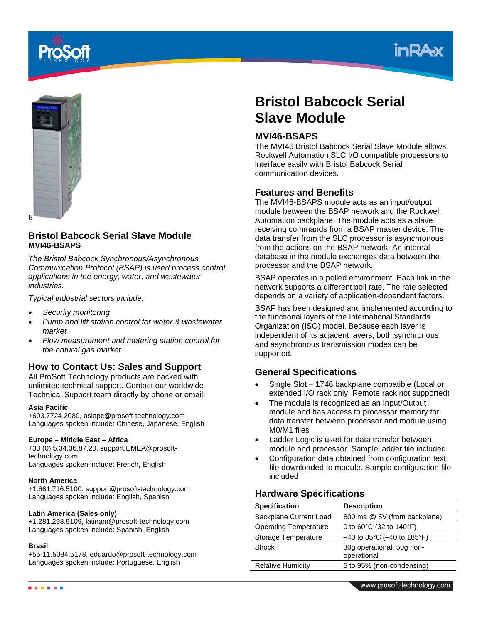





## **Bristol Babcock Serial Slave Module MVI46-BSAPS**

*The Bristol Babcock Synchronous/Asynchronous Communication Protocol (BSAP) is used process control applications in the energy, water, and wastewater industries.* 

*Typical industrial sectors include:* 

- *Security monitoring*
- *Pump and lift station control for water & wastewater market*
- *Flow measurement and metering station control for the natural gas market.*

## **How to Contact Us: Sales and Support**

All ProSoft Technology products are backed with unlimited technical support. Contact our worldwide Technical Support team directly by phone or email:

#### **Asia Pacific**

+603.7724.2080, asiapc@prosoft-technology.com Languages spoken include: Chinese, Japanese, English

#### **Europe – Middle East – Africa**

+33 (0) 5.34.36.87.20, support.EMEA@prosofttechnology.com Languages spoken include: French, English

#### **North America**

+1.661.716.5100, support@prosoft-technology.com Languages spoken include: English, Spanish

#### **Latin America (Sales only)**

+1.281.298.9109, latinam@prosoft-technology.com Languages spoken include: Spanish, English

#### **Brasil**

+55-11.5084.5178, eduardo@prosoft-technology.com Languages spoken include: Portuguese, English

# **Bristol Babcock Serial Slave Module**

## **MVI46-BSAPS**

The MVI46 Bristol Babcock Serial Slave Module allows Rockwell Automation SLC I/O compatible processors to interface easily with Bristol Babcock Serial communication devices.

### **Features and Benefits**

The MVI46-BSAPS module acts as an input/output module between the BSAP network and the Rockwell Automation backplane. The module acts as a slave receiving commands from a BSAP master device. The data transfer from the SLC processor is asynchronous from the actions on the BSAP network. An internal database in the module exchanges data between the processor and the BSAP network.

BSAP operates in a polled environment. Each link in the network supports a different poll rate. The rate selected depends on a variety of application-dependent factors.

BSAP has been designed and implemented according to the functional layers of the International Standards Organization (ISO) model. Because each layer is independent of its adjacent layers, both synchronous and asynchronous transmission modes can be supported.

## **General Specifications**

- Single Slot 1746 backplane compatible (Local or extended I/O rack only. Remote rack not supported)
- The module is recognized as an Input/Output module and has access to processor memory for data transfer between processor and module using M0/M1 files
- Ladder Logic is used for data transfer between module and processor. Sample ladder file included
- Configuration data obtained from configuration text file downloaded to module. Sample configuration file included

#### **Hardware Specifications**

| <b>Specification</b>         | <b>Description</b>                           |
|------------------------------|----------------------------------------------|
| Backplane Current Load       | 800 ma @ 5V (from backplane)                 |
| <b>Operating Temperature</b> | 0 to $60^{\circ}$ C (32 to 140 $^{\circ}$ F) |
| Storage Temperature          | $-40$ to 85°C ( $-40$ to 185°F)              |
| Shock                        | 30g operational, 50g non-<br>operational     |
| <b>Relative Humidity</b>     | 5 to 95% (non-condensing)                    |